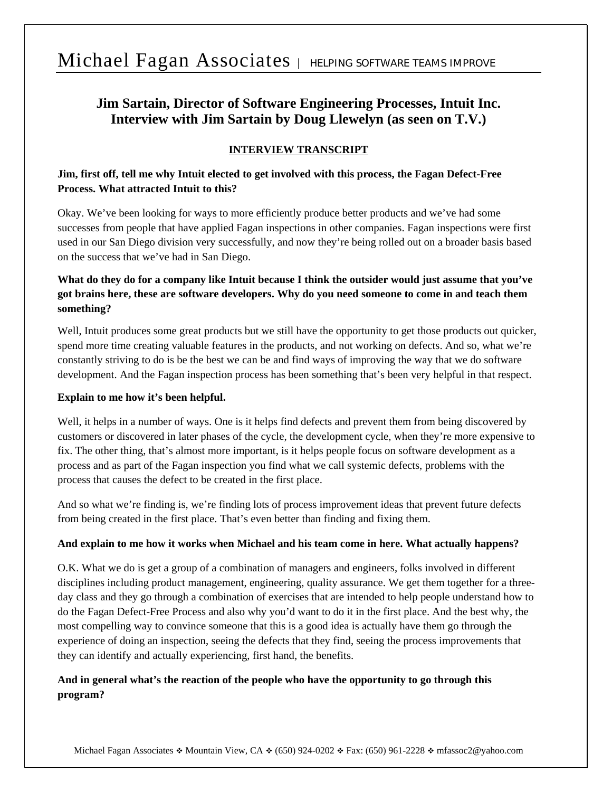# Michael Fagan Associates | HELPING SOFTWARE TEAMS IMPROVE

# **Jim Sartain, Director of Software Engineering Processes, Intuit Inc. Interview with Jim Sartain by Doug Llewelyn (as seen on T.V.)**

### **INTERVIEW TRANSCRIPT**

### **Jim, first off, tell me why Intuit elected to get involved with this process, the Fagan Defect-Free Process. What attracted Intuit to this?**

Okay. We've been looking for ways to more efficiently produce better products and we've had some successes from people that have applied Fagan inspections in other companies. Fagan inspections were first used in our San Diego division very successfully, and now they're being rolled out on a broader basis based on the success that we've had in San Diego.

# **What do they do for a company like Intuit because I think the outsider would just assume that you've got brains here, these are software developers. Why do you need someone to come in and teach them something?**

Well, Intuit produces some great products but we still have the opportunity to get those products out quicker, spend more time creating valuable features in the products, and not working on defects. And so, what we're constantly striving to do is be the best we can be and find ways of improving the way that we do software development. And the Fagan inspection process has been something that's been very helpful in that respect.

#### **Explain to me how it's been helpful.**

Well, it helps in a number of ways. One is it helps find defects and prevent them from being discovered by customers or discovered in later phases of the cycle, the development cycle, when they're more expensive to fix. The other thing, that's almost more important, is it helps people focus on software development as a process and as part of the Fagan inspection you find what we call systemic defects, problems with the process that causes the defect to be created in the first place.

And so what we're finding is, we're finding lots of process improvement ideas that prevent future defects from being created in the first place. That's even better than finding and fixing them.

#### **And explain to me how it works when Michael and his team come in here. What actually happens?**

O.K. What we do is get a group of a combination of managers and engineers, folks involved in different disciplines including product management, engineering, quality assurance. We get them together for a threeday class and they go through a combination of exercises that are intended to help people understand how to do the Fagan Defect-Free Process and also why you'd want to do it in the first place. And the best why, the most compelling way to convince someone that this is a good idea is actually have them go through the experience of doing an inspection, seeing the defects that they find, seeing the process improvements that they can identify and actually experiencing, first hand, the benefits.

# **And in general what's the reaction of the people who have the opportunity to go through this program?**